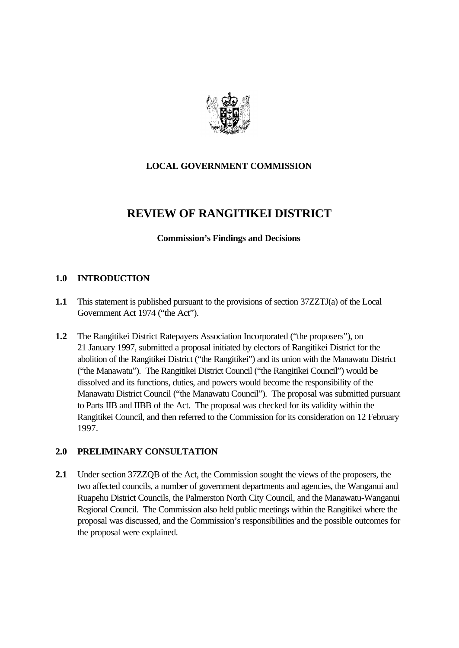

# **LOCAL GOVERNMENT COMMISSION**

# **REVIEW OF RANGITIKEI DISTRICT**

## **Commission's Findings and Decisions**

## **1.0 INTRODUCTION**

- **1.1** This statement is published pursuant to the provisions of section 37ZZTJ(a) of the Local Government Act 1974 ("the Act").
- **1.2** The Rangitikei District Ratepayers Association Incorporated ("the proposers"), on 21 January 1997, submitted a proposal initiated by electors of Rangitikei District for the abolition of the Rangitikei District ("the Rangitikei") and its union with the Manawatu District ("the Manawatu"). The Rangitikei District Council ("the Rangitikei Council") would be dissolved and its functions, duties, and powers would become the responsibility of the Manawatu District Council ("the Manawatu Council"). The proposal was submitted pursuant to Parts IIB and IIBB of the Act. The proposal was checked for its validity within the Rangitikei Council, and then referred to the Commission for its consideration on 12 February 1997.

## **2.0 PRELIMINARY CONSULTATION**

**2.1** Under section 37ZZQB of the Act, the Commission sought the views of the proposers, the two affected councils, a number of government departments and agencies, the Wanganui and Ruapehu District Councils, the Palmerston North City Council, and the Manawatu-Wanganui Regional Council. The Commission also held public meetings within the Rangitikei where the proposal was discussed, and the Commission's responsibilities and the possible outcomes for the proposal were explained.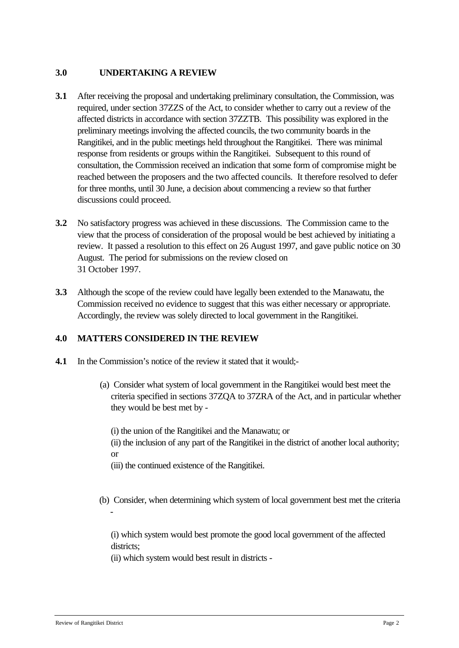## **3.0 UNDERTAKING A REVIEW**

- **3.1** After receiving the proposal and undertaking preliminary consultation, the Commission, was required, under section 37ZZS of the Act, to consider whether to carry out a review of the affected districts in accordance with section 37ZZTB. This possibility was explored in the preliminary meetings involving the affected councils, the two community boards in the Rangitikei, and in the public meetings held throughout the Rangitikei. There was minimal response from residents or groups within the Rangitikei. Subsequent to this round of consultation, the Commission received an indication that some form of compromise might be reached between the proposers and the two affected councils. It therefore resolved to defer for three months, until 30 June, a decision about commencing a review so that further discussions could proceed.
- **3.2** No satisfactory progress was achieved in these discussions. The Commission came to the view that the process of consideration of the proposal would be best achieved by initiating a review. It passed a resolution to this effect on 26 August 1997, and gave public notice on 30 August. The period for submissions on the review closed on 31 October 1997.
- **3.3** Although the scope of the review could have legally been extended to the Manawatu, the Commission received no evidence to suggest that this was either necessary or appropriate. Accordingly, the review was solely directed to local government in the Rangitikei.

## **4.0 MATTERS CONSIDERED IN THE REVIEW**

- **4.1** In the Commission's notice of the review it stated that it would;-
	- (a) Consider what system of local government in the Rangitikei would best meet the criteria specified in sections 37ZQA to 37ZRA of the Act, and in particular whether they would be best met by -

(i) the union of the Rangitikei and the Manawatu; or

(ii) the inclusion of any part of the Rangitikei in the district of another local authority; or

(iii) the continued existence of the Rangitikei.

(b) Consider, when determining which system of local government best met the criteria

(i) which system would best promote the good local government of the affected districts:

(ii) which system would best result in districts -

-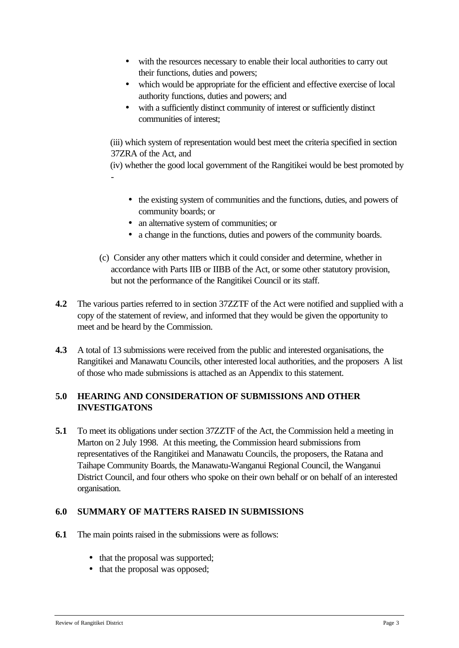- with the resources necessary to enable their local authorities to carry out their functions, duties and powers;
- which would be appropriate for the efficient and effective exercise of local authority functions, duties and powers; and
- with a sufficiently distinct community of interest or sufficiently distinct communities of interest;

(iii) which system of representation would best meet the criteria specified in section 37ZRA of the Act, and

(iv) whether the good local government of the Rangitikei would be best promoted by -

- the existing system of communities and the functions, duties, and powers of community boards; or
- an alternative system of communities; or
- a change in the functions, duties and powers of the community boards.
- (c) Consider any other matters which it could consider and determine, whether in accordance with Parts IIB or IIBB of the Act, or some other statutory provision, but not the performance of the Rangitikei Council or its staff.
- **4.2** The various parties referred to in section 37ZZTF of the Act were notified and supplied with a copy of the statement of review, and informed that they would be given the opportunity to meet and be heard by the Commission.
- **4.3** A total of 13 submissions were received from the public and interested organisations, the Rangitikei and Manawatu Councils, other interested local authorities, and the proposers A list of those who made submissions is attached as an Appendix to this statement.

# **5.0 HEARING AND CONSIDERATION OF SUBMISSIONS AND OTHER INVESTIGATONS**

**5.1** To meet its obligations under section 37ZZTF of the Act, the Commission held a meeting in Marton on 2 July 1998. At this meeting, the Commission heard submissions from representatives of the Rangitikei and Manawatu Councils, the proposers, the Ratana and Taihape Community Boards, the Manawatu-Wanganui Regional Council, the Wanganui District Council, and four others who spoke on their own behalf or on behalf of an interested organisation.

# **6.0 SUMMARY OF MATTERS RAISED IN SUBMISSIONS**

- **6.1** The main points raised in the submissions were as follows:
	- that the proposal was supported;
	- that the proposal was opposed;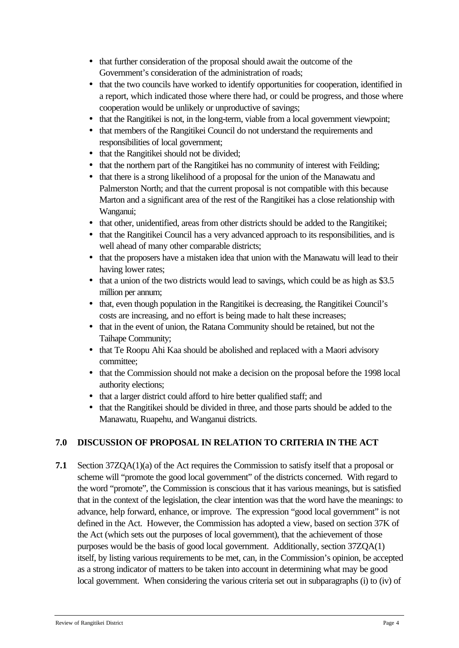- that further consideration of the proposal should await the outcome of the Government's consideration of the administration of roads;
- that the two councils have worked to identify opportunities for cooperation, identified in a report, which indicated those where there had, or could be progress, and those where cooperation would be unlikely or unproductive of savings;
- that the Rangitikei is not, in the long-term, viable from a local government viewpoint;
- that members of the Rangitikei Council do not understand the requirements and responsibilities of local government;
- that the Rangitikei should not be divided;
- that the northern part of the Rangitikei has no community of interest with Feilding;
- that there is a strong likelihood of a proposal for the union of the Manawatu and Palmerston North; and that the current proposal is not compatible with this because Marton and a significant area of the rest of the Rangitikei has a close relationship with Wanganui;
- that other, unidentified, areas from other districts should be added to the Rangitikei;
- that the Rangitikei Council has a very advanced approach to its responsibilities, and is well ahead of many other comparable districts;
- that the proposers have a mistaken idea that union with the Manawatu will lead to their having lower rates;
- that a union of the two districts would lead to savings, which could be as high as \$3.5 million per annum;
- that, even though population in the Rangitikei is decreasing, the Rangitikei Council's costs are increasing, and no effort is being made to halt these increases;
- that in the event of union, the Ratana Community should be retained, but not the Taihape Community;
- that Te Roopu Ahi Kaa should be abolished and replaced with a Maori advisory committee;
- that the Commission should not make a decision on the proposal before the 1998 local authority elections;
- that a larger district could afford to hire better qualified staff; and
- that the Rangitikei should be divided in three, and those parts should be added to the Manawatu, Ruapehu, and Wanganui districts.

# **7.0 DISCUSSION OF PROPOSAL IN RELATION TO CRITERIA IN THE ACT**

**7.1** Section 37ZQA(1)(a) of the Act requires the Commission to satisfy itself that a proposal or scheme will "promote the good local government" of the districts concerned. With regard to the word "promote", the Commission is conscious that it has various meanings, but is satisfied that in the context of the legislation, the clear intention was that the word have the meanings: to advance, help forward, enhance, or improve. The expression "good local government" is not defined in the Act. However, the Commission has adopted a view, based on section 37K of the Act (which sets out the purposes of local government), that the achievement of those purposes would be the basis of good local government. Additionally, section 37ZQA(1) itself, by listing various requirements to be met, can, in the Commission's opinion, be accepted as a strong indicator of matters to be taken into account in determining what may be good local government. When considering the various criteria set out in subparagraphs (i) to (iv) of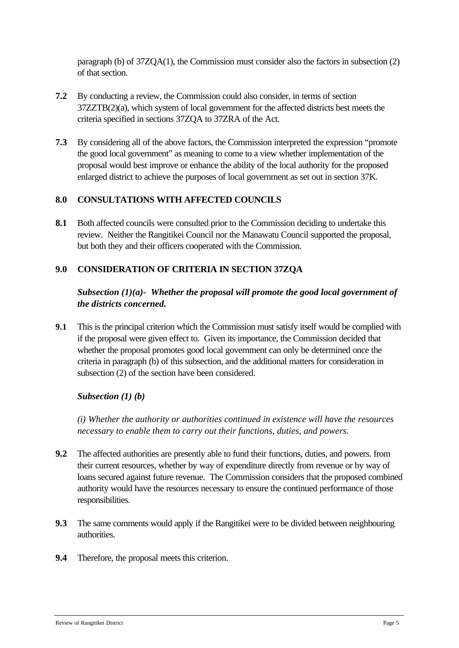paragraph (b) of 37ZQA(1), the Commission must consider also the factors in subsection (2) of that section.

- **7.2** By conducting a review, the Commission could also consider, in terms of section 37ZZTB(2)(a), which system of local government for the affected districts best meets the criteria specified in sections 37ZQA to 37ZRA of the Act.
- **7.3** By considering all of the above factors, the Commission interpreted the expression "promote the good local government" as meaning to come to a view whether implementation of the proposal would best improve or enhance the ability of the local authority for the proposed enlarged district to achieve the purposes of local government as set out in section 37K.

# **8.0 CONSULTATIONS WITH AFFECTED COUNCILS**

**8.1** Both affected councils were consulted prior to the Commission deciding to undertake this review. Neither the Rangitikei Council nor the Manawatu Council supported the proposal, but both they and their officers cooperated with the Commission.

## **9.0 CONSIDERATION OF CRITERIA IN SECTION 37ZQA**

## *Subsection (1)(a)- Whether the proposal will promote the good local government of the districts concerned.*

**9.1** This is the principal criterion which the Commission must satisfy itself would be complied with if the proposal were given effect to. Given its importance, the Commission decided that whether the proposal promotes good local government can only be determined once the criteria in paragraph (b) of this subsection, and the additional matters for consideration in subsection (2) of the section have been considered.

## *Subsection (1) (b)*

*(i) Whether the authority or authorities continued in existence will have the resources necessary to enable them to carry out their functions, duties, and powers.*

- **9.2** The affected authorities are presently able to fund their functions, duties, and powers. from their current resources, whether by way of expenditure directly from revenue or by way of loans secured against future revenue. The Commission considers that the proposed combined authority would have the resources necessary to ensure the continued performance of those responsibilities.
- **9.3** The same comments would apply if the Rangitikei were to be divided between neighbouring authorities.
- **9.4** Therefore, the proposal meets this criterion.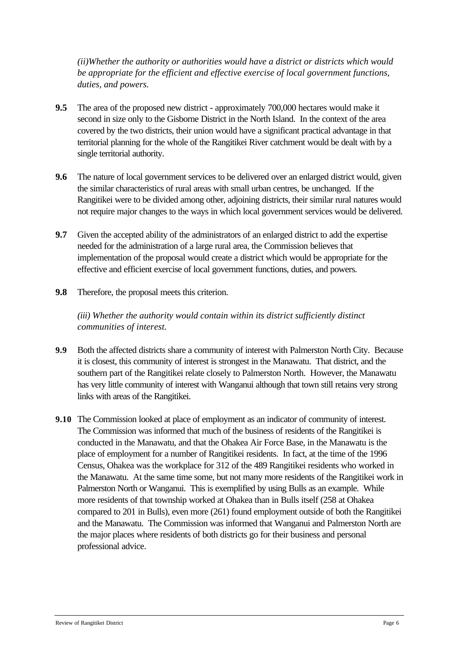*(ii)Whether the authority or authorities would have a district or districts which would be appropriate for the efficient and effective exercise of local government functions, duties, and powers.*

- **9.5** The area of the proposed new district approximately 700,000 hectares would make it second in size only to the Gisborne District in the North Island. In the context of the area covered by the two districts, their union would have a significant practical advantage in that territorial planning for the whole of the Rangitikei River catchment would be dealt with by a single territorial authority.
- **9.6** The nature of local government services to be delivered over an enlarged district would, given the similar characteristics of rural areas with small urban centres, be unchanged. If the Rangitikei were to be divided among other, adjoining districts, their similar rural natures would not require major changes to the ways in which local government services would be delivered.
- **9.7** Given the accepted ability of the administrators of an enlarged district to add the expertise needed for the administration of a large rural area, the Commission believes that implementation of the proposal would create a district which would be appropriate for the effective and efficient exercise of local government functions, duties, and powers.
- **9.8** Therefore, the proposal meets this criterion.

## *(iii) Whether the authority would contain within its district sufficiently distinct communities of interest.*

- **9.9** Both the affected districts share a community of interest with Palmerston North City. Because it is closest, this community of interest is strongest in the Manawatu. That district, and the southern part of the Rangitikei relate closely to Palmerston North. However, the Manawatu has very little community of interest with Wanganui although that town still retains very strong links with areas of the Rangitikei.
- **9.10** The Commission looked at place of employment as an indicator of community of interest. The Commission was informed that much of the business of residents of the Rangitikei is conducted in the Manawatu, and that the Ohakea Air Force Base, in the Manawatu is the place of employment for a number of Rangitikei residents. In fact, at the time of the 1996 Census, Ohakea was the workplace for 312 of the 489 Rangitikei residents who worked in the Manawatu. At the same time some, but not many more residents of the Rangitikei work in Palmerston North or Wanganui. This is exemplified by using Bulls as an example. While more residents of that township worked at Ohakea than in Bulls itself (258 at Ohakea compared to 201 in Bulls), even more (261) found employment outside of both the Rangitikei and the Manawatu. The Commission was informed that Wanganui and Palmerston North are the major places where residents of both districts go for their business and personal professional advice.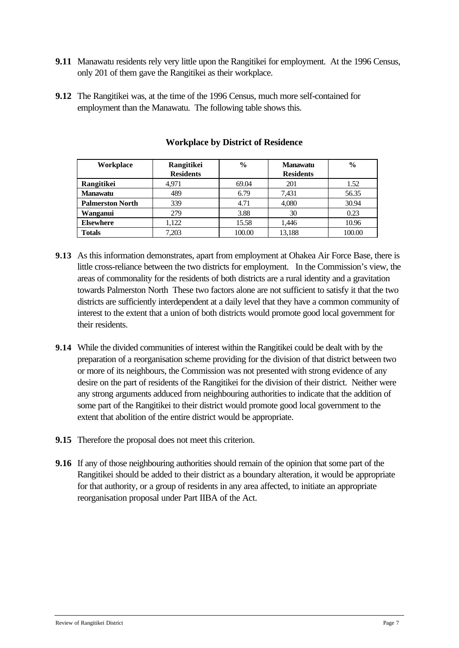- **9.11** Manawatu residents rely very little upon the Rangitikei for employment. At the 1996 Census, only 201 of them gave the Rangitikei as their workplace.
- **9.12** The Rangitikei was, at the time of the 1996 Census, much more self-contained for employment than the Manawatu. The following table shows this.

| Workplace               | Rangitikei       | $\frac{6}{9}$ | <b>Manawatu</b>  | $\frac{0}{0}$ |
|-------------------------|------------------|---------------|------------------|---------------|
|                         | <b>Residents</b> |               | <b>Residents</b> |               |
| Rangitikei              | 4.971            | 69.04         | 201              | 1.52          |
| <b>Manawatu</b>         | 489              | 6.79          | 7.431            | 56.35         |
| <b>Palmerston North</b> | 339              | 4.71          | 4,080            | 30.94         |
| Wanganui                | 279              | 3.88          | 30               | 0.23          |
| <b>Elsewhere</b>        | 1.122            | 15.58         | 1.446            | 10.96         |
| <b>Totals</b>           | 7.203            | 100.00        | 13.188           | 100.00        |

#### **Workplace by District of Residence**

- **9.13** As this information demonstrates, apart from employment at Ohakea Air Force Base, there is little cross-reliance between the two districts for employment. In the Commission's view, the areas of commonality for the residents of both districts are a rural identity and a gravitation towards Palmerston North These two factors alone are not sufficient to satisfy it that the two districts are sufficiently interdependent at a daily level that they have a common community of interest to the extent that a union of both districts would promote good local government for their residents.
- **9.14** While the divided communities of interest within the Rangitikei could be dealt with by the preparation of a reorganisation scheme providing for the division of that district between two or more of its neighbours, the Commission was not presented with strong evidence of any desire on the part of residents of the Rangitikei for the division of their district. Neither were any strong arguments adduced from neighbouring authorities to indicate that the addition of some part of the Rangitikei to their district would promote good local government to the extent that abolition of the entire district would be appropriate.
- **9.15** Therefore the proposal does not meet this criterion.
- **9.16** If any of those neighbouring authorities should remain of the opinion that some part of the Rangitikei should be added to their district as a boundary alteration, it would be appropriate for that authority, or a group of residents in any area affected, to initiate an appropriate reorganisation proposal under Part IIBA of the Act.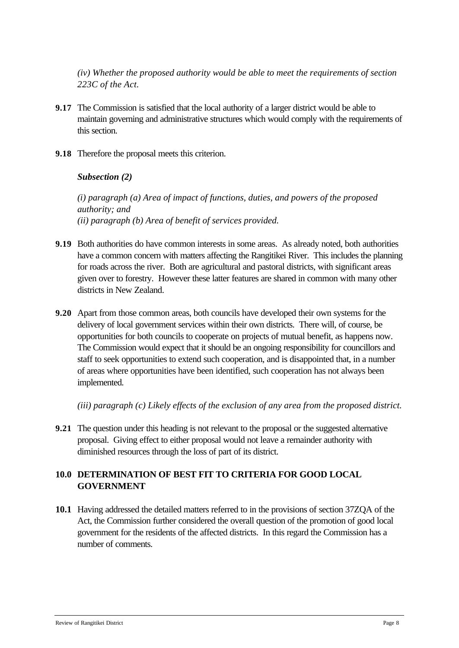*(iv) Whether the proposed authority would be able to meet the requirements of section 223C of the Act.*

- **9.17** The Commission is satisfied that the local authority of a larger district would be able to maintain governing and administrative structures which would comply with the requirements of this section.
- **9.18** Therefore the proposal meets this criterion.

*Subsection (2)*

*(i) paragraph (a) Area of impact of functions, duties, and powers of the proposed authority; and (ii) paragraph (b) Area of benefit of services provided.*

- **9.19** Both authorities do have common interests in some areas. As already noted, both authorities have a common concern with matters affecting the Rangitikei River. This includes the planning for roads across the river. Both are agricultural and pastoral districts, with significant areas given over to forestry. However these latter features are shared in common with many other districts in New Zealand.
- **9.20** Apart from those common areas, both councils have developed their own systems for the delivery of local government services within their own districts. There will, of course, be opportunities for both councils to cooperate on projects of mutual benefit, as happens now. The Commission would expect that it should be an ongoing responsibility for councillors and staff to seek opportunities to extend such cooperation, and is disappointed that, in a number of areas where opportunities have been identified, such cooperation has not always been implemented.

*(iii) paragraph (c) Likely effects of the exclusion of any area from the proposed district.*

**9.21** The question under this heading is not relevant to the proposal or the suggested alternative proposal. Giving effect to either proposal would not leave a remainder authority with diminished resources through the loss of part of its district.

## **10.0 DETERMINATION OF BEST FIT TO CRITERIA FOR GOOD LOCAL GOVERNMENT**

**10.1** Having addressed the detailed matters referred to in the provisions of section 37ZQA of the Act, the Commission further considered the overall question of the promotion of good local government for the residents of the affected districts. In this regard the Commission has a number of comments.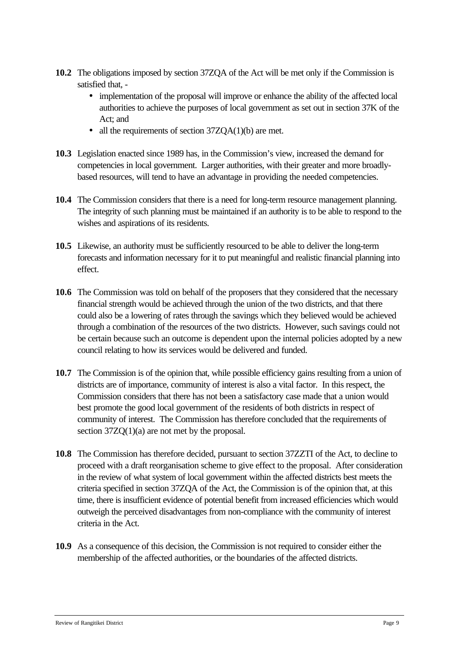- **10.2** The obligations imposed by section 37ZQA of the Act will be met only if the Commission is satisfied that, -
	- implementation of the proposal will improve or enhance the ability of the affected local authorities to achieve the purposes of local government as set out in section 37K of the Act; and
	- all the requirements of section 37ZQA(1)(b) are met.
- **10.3** Legislation enacted since 1989 has, in the Commission's view, increased the demand for competencies in local government. Larger authorities, with their greater and more broadlybased resources, will tend to have an advantage in providing the needed competencies.
- **10.4** The Commission considers that there is a need for long-term resource management planning. The integrity of such planning must be maintained if an authority is to be able to respond to the wishes and aspirations of its residents.
- **10.5** Likewise, an authority must be sufficiently resourced to be able to deliver the long-term forecasts and information necessary for it to put meaningful and realistic financial planning into effect.
- **10.6** The Commission was told on behalf of the proposers that they considered that the necessary financial strength would be achieved through the union of the two districts, and that there could also be a lowering of rates through the savings which they believed would be achieved through a combination of the resources of the two districts. However, such savings could not be certain because such an outcome is dependent upon the internal policies adopted by a new council relating to how its services would be delivered and funded.
- **10.7** The Commission is of the opinion that, while possible efficiency gains resulting from a union of districts are of importance, community of interest is also a vital factor. In this respect, the Commission considers that there has not been a satisfactory case made that a union would best promote the good local government of the residents of both districts in respect of community of interest. The Commission has therefore concluded that the requirements of section  $37ZQ(1)(a)$  are not met by the proposal.
- **10.8** The Commission has therefore decided, pursuant to section 37ZZTI of the Act, to decline to proceed with a draft reorganisation scheme to give effect to the proposal. After consideration in the review of what system of local government within the affected districts best meets the criteria specified in section 37ZQA of the Act, the Commission is of the opinion that, at this time, there is insufficient evidence of potential benefit from increased efficiencies which would outweigh the perceived disadvantages from non-compliance with the community of interest criteria in the Act.
- **10.9** As a consequence of this decision, the Commission is not required to consider either the membership of the affected authorities, or the boundaries of the affected districts.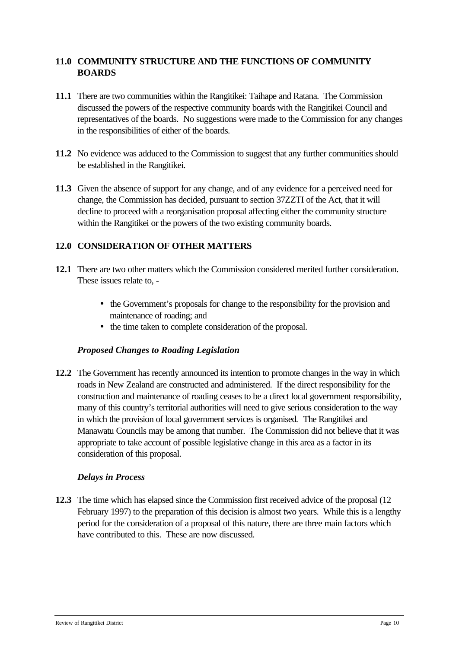## **11.0 COMMUNITY STRUCTURE AND THE FUNCTIONS OF COMMUNITY BOARDS**

- **11.1** There are two communities within the Rangitikei: Taihape and Ratana. The Commission discussed the powers of the respective community boards with the Rangitikei Council and representatives of the boards. No suggestions were made to the Commission for any changes in the responsibilities of either of the boards.
- **11.2** No evidence was adduced to the Commission to suggest that any further communities should be established in the Rangitikei.
- **11.3** Given the absence of support for any change, and of any evidence for a perceived need for change, the Commission has decided, pursuant to section 37ZZTI of the Act, that it will decline to proceed with a reorganisation proposal affecting either the community structure within the Rangitikei or the powers of the two existing community boards.

## **12.0 CONSIDERATION OF OTHER MATTERS**

- **12.1** There are two other matters which the Commission considered merited further consideration. These issues relate to, -
	- the Government's proposals for change to the responsibility for the provision and maintenance of roading; and
	- **·** the time taken to complete consideration of the proposal.

## *Proposed Changes to Roading Legislation*

**12.2** The Government has recently announced its intention to promote changes in the way in which roads in New Zealand are constructed and administered. If the direct responsibility for the construction and maintenance of roading ceases to be a direct local government responsibility, many of this country's territorial authorities will need to give serious consideration to the way in which the provision of local government services is organised*.* The Rangitikei and Manawatu Councils may be among that number. The Commission did not believe that it was appropriate to take account of possible legislative change in this area as a factor in its consideration of this proposal.

#### *Delays in Process*

**12.3** The time which has elapsed since the Commission first received advice of the proposal (12 February 1997) to the preparation of this decision is almost two years. While this is a lengthy period for the consideration of a proposal of this nature, there are three main factors which have contributed to this. These are now discussed.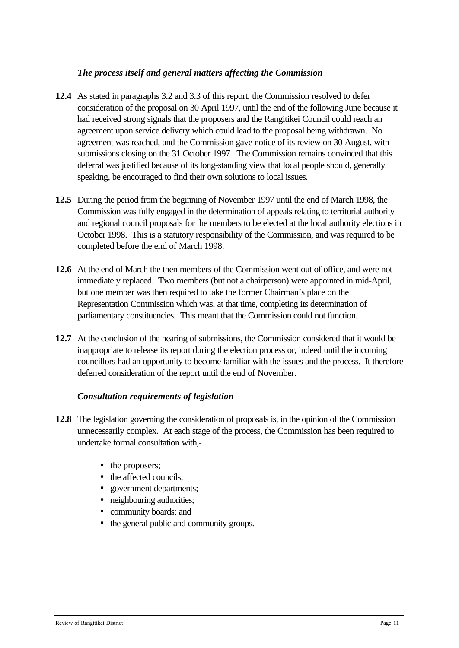#### *The process itself and general matters affecting the Commission*

- **12.4** As stated in paragraphs 3.2 and 3.3 of this report, the Commission resolved to defer consideration of the proposal on 30 April 1997, until the end of the following June because it had received strong signals that the proposers and the Rangitikei Council could reach an agreement upon service delivery which could lead to the proposal being withdrawn. No agreement was reached, and the Commission gave notice of its review on 30 August, with submissions closing on the 31 October 1997. The Commission remains convinced that this deferral was justified because of its long-standing view that local people should, generally speaking, be encouraged to find their own solutions to local issues.
- **12.5** During the period from the beginning of November 1997 until the end of March 1998, the Commission was fully engaged in the determination of appeals relating to territorial authority and regional council proposals for the members to be elected at the local authority elections in October 1998. This is a statutory responsibility of the Commission, and was required to be completed before the end of March 1998.
- **12.6** At the end of March the then members of the Commission went out of office, and were not immediately replaced. Two members (but not a chairperson) were appointed in mid-April, but one member was then required to take the former Chairman's place on the Representation Commission which was, at that time, completing its determination of parliamentary constituencies. This meant that the Commission could not function.
- **12.7** At the conclusion of the hearing of submissions, the Commission considered that it would be inappropriate to release its report during the election process or, indeed until the incoming councillors had an opportunity to become familiar with the issues and the process. It therefore deferred consideration of the report until the end of November.

## *Consultation requirements of legislation*

- **12.8** The legislation governing the consideration of proposals is, in the opinion of the Commission unnecessarily complex. At each stage of the process, the Commission has been required to undertake formal consultation with,-
	- the proposers;
	- the affected councils:
	- government departments;
	- neighbouring authorities;
	- community boards; and
	- the general public and community groups.